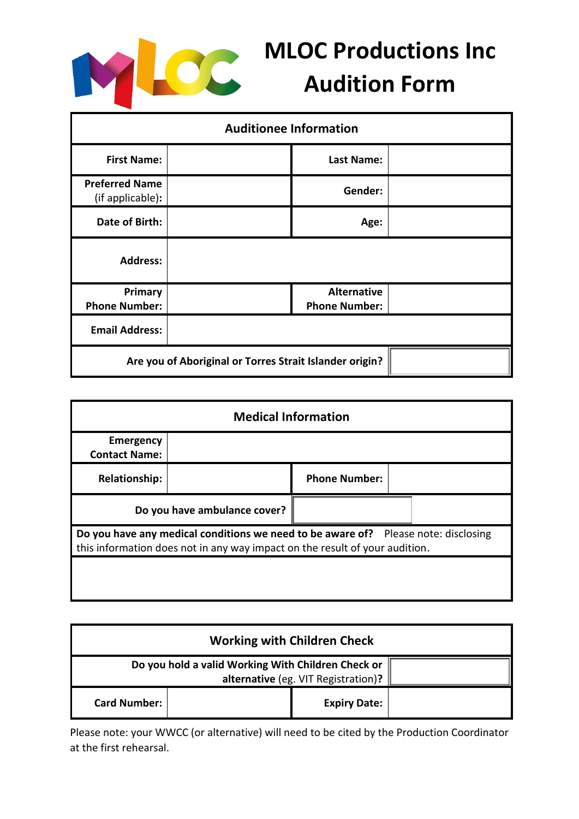

## **MLOC Productions Inc Audition Form**

| <b>Auditionee Information</b>                           |  |                      |  |  |
|---------------------------------------------------------|--|----------------------|--|--|
| <b>First Name:</b>                                      |  | <b>Last Name:</b>    |  |  |
| <b>Preferred Name</b><br>(if applicable):               |  | Gender:              |  |  |
| Date of Birth:                                          |  | Age:                 |  |  |
| <b>Address:</b>                                         |  |                      |  |  |
| Primary                                                 |  | <b>Alternative</b>   |  |  |
| <b>Phone Number:</b>                                    |  | <b>Phone Number:</b> |  |  |
| <b>Email Address:</b>                                   |  |                      |  |  |
| Are you of Aboriginal or Torres Strait Islander origin? |  |                      |  |  |

| <b>Medical Information</b>                                                                                                                                        |  |                      |  |  |
|-------------------------------------------------------------------------------------------------------------------------------------------------------------------|--|----------------------|--|--|
| <b>Emergency</b><br><b>Contact Name:</b>                                                                                                                          |  |                      |  |  |
| <b>Relationship:</b>                                                                                                                                              |  | <b>Phone Number:</b> |  |  |
| Do you have ambulance cover?                                                                                                                                      |  |                      |  |  |
| Do you have any medical conditions we need to be aware of? Please note: disclosing<br>this information does not in any way impact on the result of your audition. |  |                      |  |  |
|                                                                                                                                                                   |  |                      |  |  |

| <b>Working with Children Check</b>                                                        |  |                     |  |  |
|-------------------------------------------------------------------------------------------|--|---------------------|--|--|
| Do you hold a valid Working With Children Check or<br>alternative (eg. VIT Registration)? |  |                     |  |  |
| <b>Card Number:</b>                                                                       |  | <b>Expiry Date:</b> |  |  |

Please note: your WWCC (or alternative) will need to be cited by the Production Coordinator at the first rehearsal.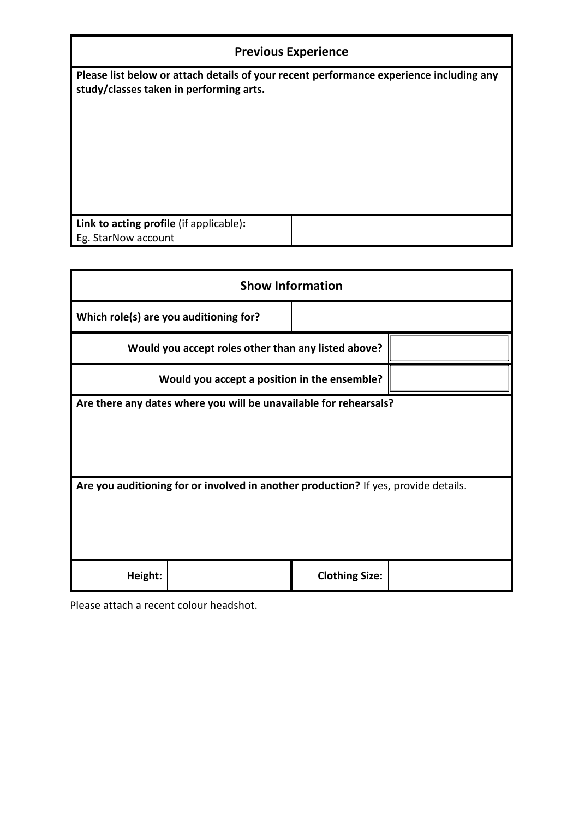**Please list below or attach details of your recent performance experience including any study/classes taken in performing arts.**

| Link to acting profile (if applicable): |  |
|-----------------------------------------|--|
| Eg. StarNow account                     |  |
|                                         |  |

| <b>Show Information</b>                                                             |                       |  |  |  |  |
|-------------------------------------------------------------------------------------|-----------------------|--|--|--|--|
| Which role(s) are you auditioning for?                                              |                       |  |  |  |  |
| Would you accept roles other than any listed above?                                 |                       |  |  |  |  |
| Would you accept a position in the ensemble?                                        |                       |  |  |  |  |
| Are there any dates where you will be unavailable for rehearsals?                   |                       |  |  |  |  |
| Are you auditioning for or involved in another production? If yes, provide details. |                       |  |  |  |  |
| Height:                                                                             | <b>Clothing Size:</b> |  |  |  |  |

Please attach a recent colour headshot.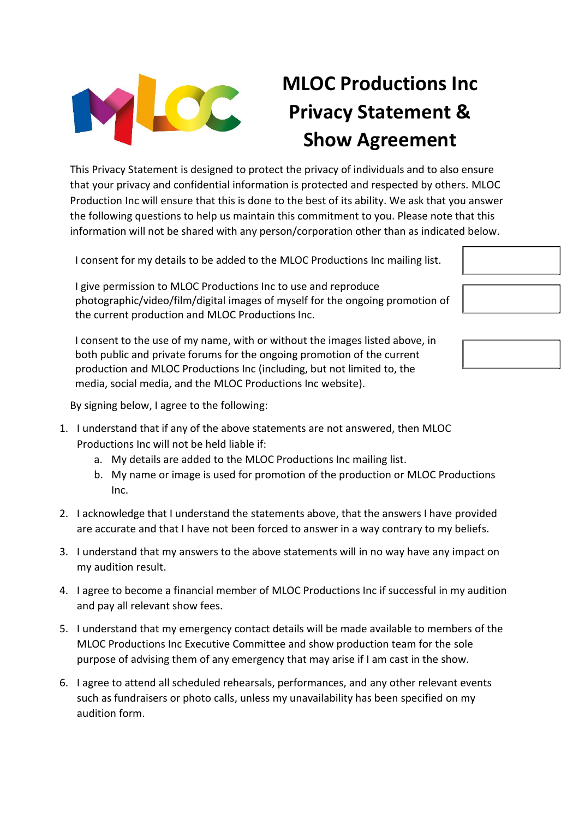

## **MLOC Productions Inc Privacy Statement & Show Agreement**

This Privacy Statement is designed to protect the privacy of individuals and to also ensure that your privacy and confidential information is protected and respected by others. MLOC Production Inc will ensure that this is done to the best of its ability. We ask that you answer the following questions to help us maintain this commitment to you. Please note that this information will not be shared with any person/corporation other than as indicated below.

I consent for my details to be added to the MLOC Productions Inc mailing list.

I give permission to MLOC Productions Inc to use and reproduce photographic/video/film/digital images of myself for the ongoing promotion of the current production and MLOC Productions Inc.

I consent to the use of my name, with or without the images listed above, in both public and private forums for the ongoing promotion of the current production and MLOC Productions Inc (including, but not limited to, the media, social media, and the MLOC Productions Inc website).



By signing below, I agree to the following:

- 1. I understand that if any of the above statements are not answered, then MLOC Productions Inc will not be held liable if:
	- a. My details are added to the MLOC Productions Inc mailing list.
	- b. My name or image is used for promotion of the production or MLOC Productions Inc.
- 2. I acknowledge that I understand the statements above, that the answers I have provided are accurate and that I have not been forced to answer in a way contrary to my beliefs.
- 3. I understand that my answers to the above statements will in no way have any impact on my audition result.
- 4. I agree to become a financial member of MLOC Productions Inc if successful in my audition and pay all relevant show fees.
- 5. I understand that my emergency contact details will be made available to members of the MLOC Productions Inc Executive Committee and show production team for the sole purpose of advising them of any emergency that may arise if I am cast in the show.
- 6. I agree to attend all scheduled rehearsals, performances, and any other relevant events such as fundraisers or photo calls, unless my unavailability has been specified on my audition form.